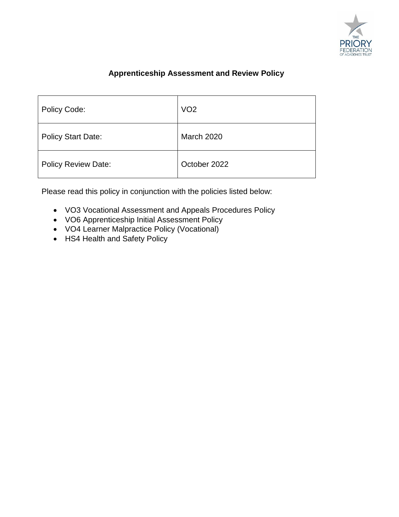

# **Apprenticeship Assessment and Review Policy**

| <b>Policy Code:</b>        | VO <sub>2</sub>   |
|----------------------------|-------------------|
| <b>Policy Start Date:</b>  | <b>March 2020</b> |
| <b>Policy Review Date:</b> | October 2022      |

Please read this policy in conjunction with the policies listed below:

- VO3 Vocational Assessment and Appeals Procedures Policy
- VO6 Apprenticeship Initial Assessment Policy
- VO4 Learner Malpractice Policy (Vocational)
- HS4 Health and Safety Policy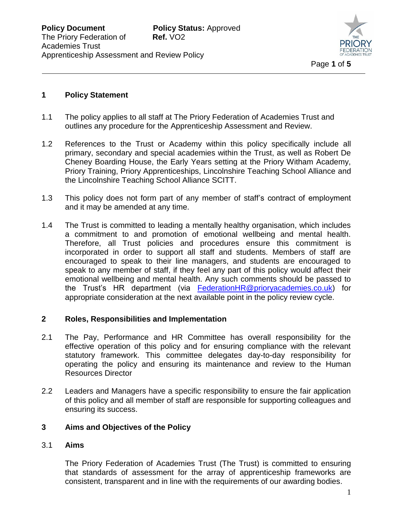

### **1 Policy Statement**

- 1.1 The policy applies to all staff at The Priory Federation of Academies Trust and outlines any procedure for the Apprenticeship Assessment and Review.
- 1.2 References to the Trust or Academy within this policy specifically include all primary, secondary and special academies within the Trust, as well as Robert De Cheney Boarding House, the Early Years setting at the Priory Witham Academy, Priory Training, Priory Apprenticeships, Lincolnshire Teaching School Alliance and the Lincolnshire Teaching School Alliance SCITT.
- 1.3 This policy does not form part of any member of staff's contract of employment and it may be amended at any time.
- 1.4 The Trust is committed to leading a mentally healthy organisation, which includes a commitment to and promotion of emotional wellbeing and mental health. Therefore, all Trust policies and procedures ensure this commitment is incorporated in order to support all staff and students. Members of staff are encouraged to speak to their line managers, and students are encouraged to speak to any member of staff, if they feel any part of this policy would affect their emotional wellbeing and mental health. Any such comments should be passed to the Trust's HR department (via [FederationHR@prioryacademies.co.uk\)](mailto:FederationHR@prioryacademies.co.uk) for appropriate consideration at the next available point in the policy review cycle.

#### **2 Roles, Responsibilities and Implementation**

- 2.1 The Pay, Performance and HR Committee has overall responsibility for the effective operation of this policy and for ensuring compliance with the relevant statutory framework. This committee delegates day-to-day responsibility for operating the policy and ensuring its maintenance and review to the Human Resources Director
- 2.2 Leaders and Managers have a specific responsibility to ensure the fair application of this policy and all member of staff are responsible for supporting colleagues and ensuring its success.

#### **3 Aims and Objectives of the Policy**

#### 3.1 **Aims**

The Priory Federation of Academies Trust (The Trust) is committed to ensuring that standards of assessment for the array of apprenticeship frameworks are consistent, transparent and in line with the requirements of our awarding bodies.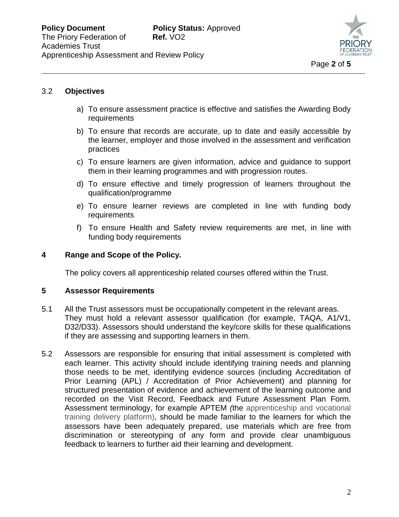

## 3.2 **Objectives**

- a) To ensure assessment practice is effective and satisfies the Awarding Body requirements
- b) To ensure that records are accurate, up to date and easily accessible by the learner, employer and those involved in the assessment and verification practices
- c) To ensure learners are given information, advice and guidance to support them in their learning programmes and with progression routes.
- d) To ensure effective and timely progression of learners throughout the qualification/programme
- e) To ensure learner reviews are completed in line with funding body requirements
- f) To ensure Health and Safety review requirements are met, in line with funding body requirements

### **4 Range and Scope of the Policy.**

The policy covers all apprenticeship related courses offered within the Trust.

#### **5 Assessor Requirements**

- 5.1 All the Trust assessors must be occupationally competent in the relevant areas. They must hold a relevant assessor qualification (for example, TAQA, A1/V1, D32/D33). Assessors should understand the key/core skills for these qualifications if they are assessing and supporting learners in them.
- 5.2 Assessors are responsible for ensuring that initial assessment is completed with each learner. This activity should include identifying training needs and planning those needs to be met, identifying evidence sources (including Accreditation of Prior Learning (APL) / Accreditation of Prior Achievement) and planning for structured presentation of evidence and achievement of the learning outcome and recorded on the Visit Record, Feedback and Future Assessment Plan Form. Assessment terminology, for example APTEM *(*the apprenticeship and vocational training delivery platform), should be made familiar to the learners for which the assessors have been adequately prepared, use materials which are free from discrimination or stereotyping of any form and provide clear unambiguous feedback to learners to further aid their learning and development.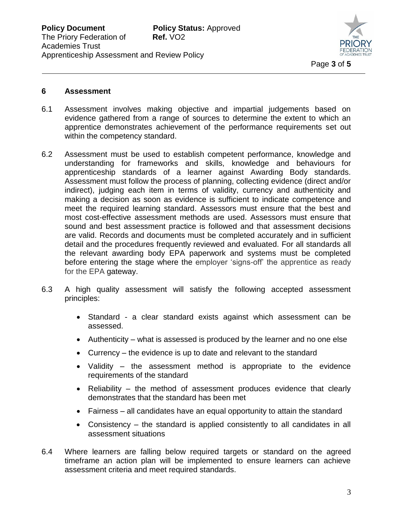

#### **6 Assessment**

- 6.1 Assessment involves making objective and impartial judgements based on evidence gathered from a range of sources to determine the extent to which an apprentice demonstrates achievement of the performance requirements set out within the competency standard.
- 6.2 Assessment must be used to establish competent performance, knowledge and understanding for frameworks and skills, knowledge and behaviours for apprenticeship standards of a learner against Awarding Body standards. Assessment must follow the process of planning, collecting evidence (direct and/or indirect), judging each item in terms of validity, currency and authenticity and making a decision as soon as evidence is sufficient to indicate competence and meet the required learning standard. Assessors must ensure that the best and most cost-effective assessment methods are used. Assessors must ensure that sound and best assessment practice is followed and that assessment decisions are valid. Records and documents must be completed accurately and in sufficient detail and the procedures frequently reviewed and evaluated. For all standards all the relevant awarding body EPA paperwork and systems must be completed before entering the stage where the employer 'signs-off' the apprentice as ready for the EPA gateway.
- 6.3 A high quality assessment will satisfy the following accepted assessment principles:
	- Standard a clear standard exists against which assessment can be assessed.
	- Authenticity what is assessed is produced by the learner and no one else
	- Currency the evidence is up to date and relevant to the standard
	- Validity the assessment method is appropriate to the evidence requirements of the standard
	- Reliability the method of assessment produces evidence that clearly demonstrates that the standard has been met
	- Fairness all candidates have an equal opportunity to attain the standard
	- Consistency the standard is applied consistently to all candidates in all assessment situations
- 6.4 Where learners are falling below required targets or standard on the agreed timeframe an action plan will be implemented to ensure learners can achieve assessment criteria and meet required standards.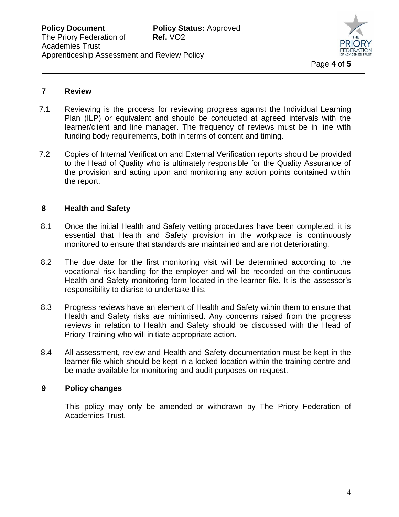

#### **7 Review**

- 7.1 Reviewing is the process for reviewing progress against the Individual Learning Plan (ILP) or equivalent and should be conducted at agreed intervals with the learner/client and line manager. The frequency of reviews must be in line with funding body requirements, both in terms of content and timing.
- 7.2 Copies of Internal Verification and External Verification reports should be provided to the Head of Quality who is ultimately responsible for the Quality Assurance of the provision and acting upon and monitoring any action points contained within the report.

#### **8 Health and Safety**

- 8.1 Once the initial Health and Safety vetting procedures have been completed, it is essential that Health and Safety provision in the workplace is continuously monitored to ensure that standards are maintained and are not deteriorating.
- 8.2 The due date for the first monitoring visit will be determined according to the vocational risk banding for the employer and will be recorded on the continuous Health and Safety monitoring form located in the learner file. It is the assessor's responsibility to diarise to undertake this.
- 8.3 Progress reviews have an element of Health and Safety within them to ensure that Health and Safety risks are minimised. Any concerns raised from the progress reviews in relation to Health and Safety should be discussed with the Head of Priory Training who will initiate appropriate action.
- 8.4 All assessment, review and Health and Safety documentation must be kept in the learner file which should be kept in a locked location within the training centre and be made available for monitoring and audit purposes on request.

#### **9 Policy changes**

This policy may only be amended or withdrawn by The Priory Federation of Academies Trust.